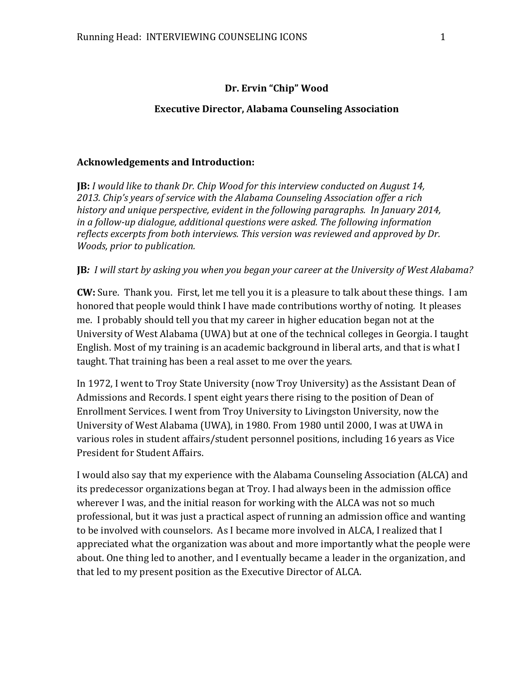#### **Dr. Ervin "Chip" Wood**

#### **Executive Director, Alabama Counseling Association**

#### **Acknowledgements and Introduction:**

**JB:** *I would like to thank Dr. Chip Wood for this interview conducted on August 14, 2013. Chip's years of service with the Alabama Counseling Association offer a rich history and unique perspective, evident in the following paragraphs. In January 2014, in a follow-up dialogue, additional questions were asked. The following information reflects excerpts from both interviews. This version was reviewed and approved by Dr. Woods, prior to publication.*

#### **JB***: I will start by asking you when you began your career at the University of West Alabama?*

**CW:** Sure. Thank you. First, let me tell you it is a pleasure to talk about these things. I am honored that people would think I have made contributions worthy of noting. It pleases me. I probably should tell you that my career in higher education began not at the University of West Alabama (UWA) but at one of the technical colleges in Georgia. I taught English. Most of my training is an academic background in liberal arts, and that is what I taught. That training has been a real asset to me over the years.

In 1972, I went to Troy State University (now Troy University) as the Assistant Dean of Admissions and Records. I spent eight years there rising to the position of Dean of Enrollment Services. I went from Troy University to Livingston University, now the University of West Alabama (UWA), in 1980. From 1980 until 2000, I was at UWA in various roles in student affairs/student personnel positions, including 16 years as Vice President for Student Affairs.

I would also say that my experience with the Alabama Counseling Association (ALCA) and its predecessor organizations began at Troy. I had always been in the admission office wherever I was, and the initial reason for working with the ALCA was not so much professional, but it was just a practical aspect of running an admission office and wanting to be involved with counselors. As I became more involved in ALCA, I realized that I appreciated what the organization was about and more importantly what the people were about. One thing led to another, and I eventually became a leader in the organization, and that led to my present position as the Executive Director of ALCA.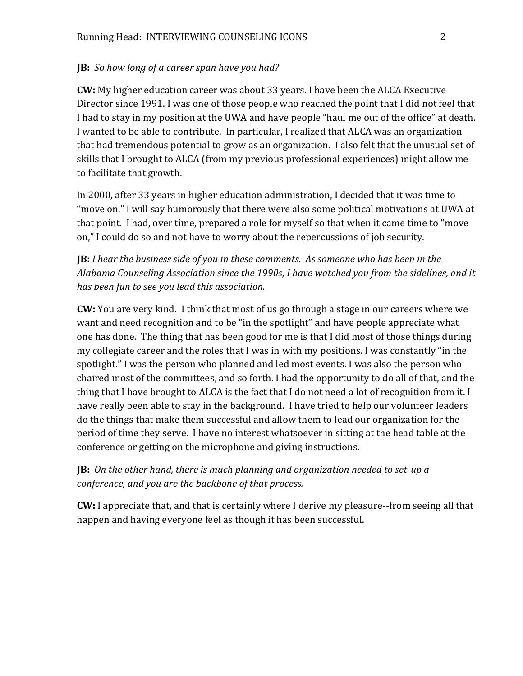## **JB:** *So how long of a career span have you had?*

**CW:** My higher education career was about 33 years. I have been the ALCA Executive Director since 1991. I was one of those people who reached the point that I did not feel that I had to stay in my position at the UWA and have people "haul me out of the office" at death. I wanted to be able to contribute. In particular, I realized that ALCA was an organization that had tremendous potential to grow as an organization. I also felt that the unusual set of skills that I brought to ALCA (from my previous professional experiences) might allow me to facilitate that growth.

In 2000, after 33 years in higher education administration, I decided that it was time to "move on." I will say humorously that there were also some political motivations at UWA at that point. I had, over time, prepared a role for myself so that when it came time to "move on," I could do so and not have to worry about the repercussions of job security.

**JB:** *I hear the business side of you in these comments. As someone who has been in the Alabama Counseling Association since the 1990s, I have watched you from the sidelines, and it has been fun to see you lead this association.*

**CW:** You are very kind. I think that most of us go through a stage in our careers where we want and need recognition and to be "in the spotlight" and have people appreciate what one has done. The thing that has been good for me is that I did most of those things during my collegiate career and the roles that I was in with my positions. I was constantly "in the spotlight." I was the person who planned and led most events. I was also the person who chaired most of the committees, and so forth. I had the opportunity to do all of that, and the thing that I have brought to ALCA is the fact that I do not need a lot of recognition from it. I have really been able to stay in the background. I have tried to help our volunteer leaders do the things that make them successful and allow them to lead our organization for the period of time they serve. I have no interest whatsoever in sitting at the head table at the conference or getting on the microphone and giving instructions.

**JB:** *On the other hand, there is much planning and organization needed to set-up a conference, and you are the backbone of that process.*

**CW:** I appreciate that, and that is certainly where I derive my pleasure--from seeing all that happen and having everyone feel as though it has been successful.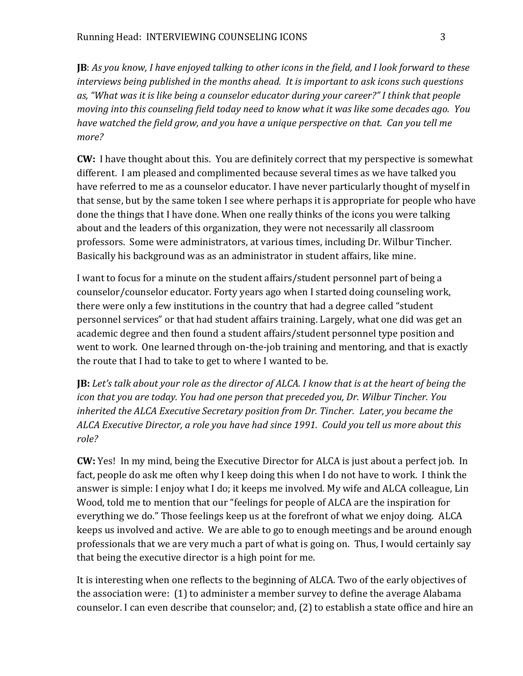**JB**: *As you know, I have enjoyed talking to other icons in the field, and I look forward to these interviews being published in the months ahead. It is important to ask icons such questions as, "What was it is like being a counselor educator during your career?" I think that people moving into this counseling field today need to know what it was like some decades ago. You have watched the field grow, and you have a unique perspective on that. Can you tell me more?*

**CW:** I have thought about this. You are definitely correct that my perspective is somewhat different. I am pleased and complimented because several times as we have talked you have referred to me as a counselor educator. I have never particularly thought of myself in that sense, but by the same token I see where perhaps it is appropriate for people who have done the things that I have done. When one really thinks of the icons you were talking about and the leaders of this organization, they were not necessarily all classroom professors. Some were administrators, at various times, including Dr. Wilbur Tincher. Basically his background was as an administrator in student affairs, like mine.

I want to focus for a minute on the student affairs/student personnel part of being a counselor/counselor educator. Forty years ago when I started doing counseling work, there were only a few institutions in the country that had a degree called "student personnel services" or that had student affairs training. Largely, what one did was get an academic degree and then found a student affairs/student personnel type position and went to work. One learned through on-the-job training and mentoring, and that is exactly the route that I had to take to get to where I wanted to be.

**JB:** *Let's talk about your role as the director of ALCA. I know that is at the heart of being the icon that you are today. You had one person that preceded you, Dr. Wilbur Tincher. You inherited the ALCA Executive Secretary position from Dr. Tincher. Later, you became the ALCA Executive Director, a role you have had since 1991. Could you tell us more about this role?*

**CW:** Yes! In my mind, being the Executive Director for ALCA is just about a perfect job. In fact, people do ask me often why I keep doing this when I do not have to work. I think the answer is simple: I enjoy what I do; it keeps me involved. My wife and ALCA colleague, Lin Wood, told me to mention that our "feelings for people of ALCA are the inspiration for everything we do." Those feelings keep us at the forefront of what we enjoy doing. ALCA keeps us involved and active. We are able to go to enough meetings and be around enough professionals that we are very much a part of what is going on. Thus, I would certainly say that being the executive director is a high point for me.

It is interesting when one reflects to the beginning of ALCA. Two of the early objectives of the association were: (1) to administer a member survey to define the average Alabama counselor. I can even describe that counselor; and, (2) to establish a state office and hire an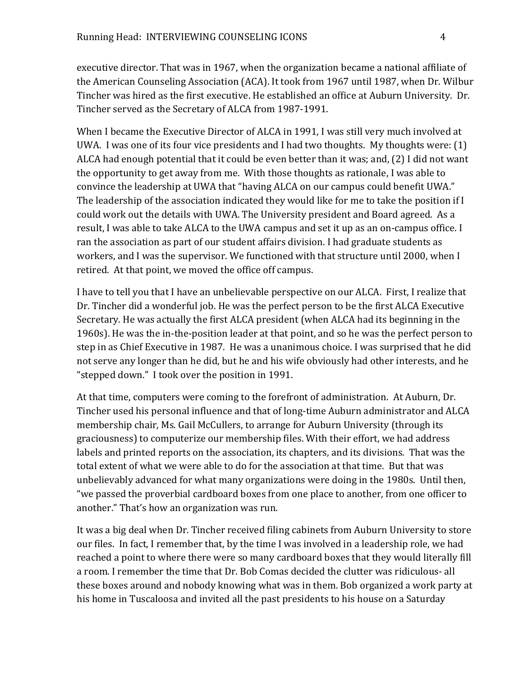executive director. That was in 1967, when the organization became a national affiliate of the American Counseling Association (ACA). It took from 1967 until 1987, when Dr. Wilbur Tincher was hired as the first executive. He established an office at Auburn University. Dr. Tincher served as the Secretary of ALCA from 1987-1991.

When I became the Executive Director of ALCA in 1991, I was still very much involved at UWA. I was one of its four vice presidents and I had two thoughts. My thoughts were: (1) ALCA had enough potential that it could be even better than it was; and, (2) I did not want the opportunity to get away from me. With those thoughts as rationale, I was able to convince the leadership at UWA that "having ALCA on our campus could benefit UWA." The leadership of the association indicated they would like for me to take the position if I could work out the details with UWA. The University president and Board agreed. As a result, I was able to take ALCA to the UWA campus and set it up as an on-campus office. I ran the association as part of our student affairs division. I had graduate students as workers, and I was the supervisor. We functioned with that structure until 2000, when I retired. At that point, we moved the office off campus.

I have to tell you that I have an unbelievable perspective on our ALCA. First, I realize that Dr. Tincher did a wonderful job. He was the perfect person to be the first ALCA Executive Secretary. He was actually the first ALCA president (when ALCA had its beginning in the 1960s). He was the in-the-position leader at that point, and so he was the perfect person to step in as Chief Executive in 1987. He was a unanimous choice. I was surprised that he did not serve any longer than he did, but he and his wife obviously had other interests, and he "stepped down." I took over the position in 1991.

At that time, computers were coming to the forefront of administration. At Auburn, Dr. Tincher used his personal influence and that of long-time Auburn administrator and ALCA membership chair, Ms. Gail McCullers, to arrange for Auburn University (through its graciousness) to computerize our membership files. With their effort, we had address labels and printed reports on the association, its chapters, and its divisions. That was the total extent of what we were able to do for the association at that time. But that was unbelievably advanced for what many organizations were doing in the 1980s. Until then, "we passed the proverbial cardboard boxes from one place to another, from one officer to another." That's how an organization was run.

It was a big deal when Dr. Tincher received filing cabinets from Auburn University to store our files. In fact, I remember that, by the time I was involved in a leadership role, we had reached a point to where there were so many cardboard boxes that they would literally fill a room. I remember the time that Dr. Bob Comas decided the clutter was ridiculous- all these boxes around and nobody knowing what was in them. Bob organized a work party at his home in Tuscaloosa and invited all the past presidents to his house on a Saturday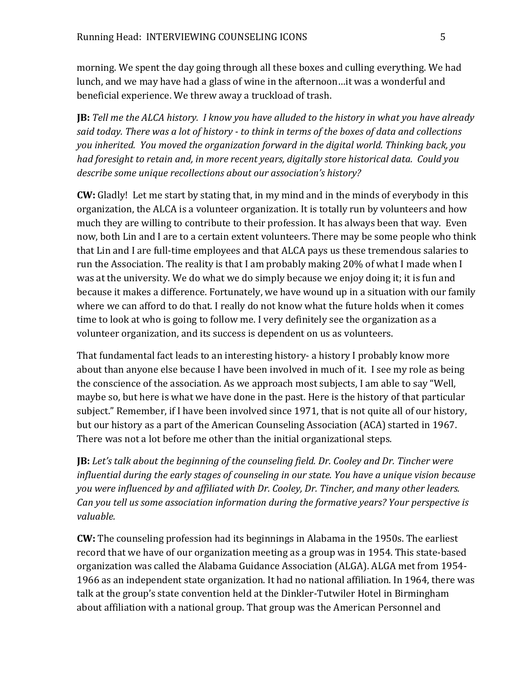morning. We spent the day going through all these boxes and culling everything. We had lunch, and we may have had a glass of wine in the afternoon…it was a wonderful and beneficial experience. We threw away a truckload of trash.

**JB:** *Tell me the ALCA history. I know you have alluded to the history in what you have already said today. There was a lot of history - to think in terms of the boxes of data and collections you inherited. You moved the organization forward in the digital world. Thinking back, you had foresight to retain and, in more recent years, digitally store historical data. Could you describe some unique recollections about our association's history?*

**CW:** Gladly! Let me start by stating that, in my mind and in the minds of everybody in this organization, the ALCA is a volunteer organization. It is totally run by volunteers and how much they are willing to contribute to their profession. It has always been that way. Even now, both Lin and I are to a certain extent volunteers. There may be some people who think that Lin and I are full-time employees and that ALCA pays us these tremendous salaries to run the Association. The reality is that I am probably making 20% of what I made when I was at the university. We do what we do simply because we enjoy doing it; it is fun and because it makes a difference. Fortunately, we have wound up in a situation with our family where we can afford to do that. I really do not know what the future holds when it comes time to look at who is going to follow me. I very definitely see the organization as a volunteer organization, and its success is dependent on us as volunteers.

That fundamental fact leads to an interesting history- a history I probably know more about than anyone else because I have been involved in much of it. I see my role as being the conscience of the association. As we approach most subjects, I am able to say "Well, maybe so, but here is what we have done in the past. Here is the history of that particular subject." Remember, if I have been involved since 1971, that is not quite all of our history, but our history as a part of the American Counseling Association (ACA) started in 1967. There was not a lot before me other than the initial organizational steps.

**JB:** *Let's talk about the beginning of the counseling field. Dr. Cooley and Dr. Tincher were influential during the early stages of counseling in our state. You have a unique vision because you were influenced by and affiliated with Dr. Cooley, Dr. Tincher, and many other leaders. Can you tell us some association information during the formative years? Your perspective is valuable.*

**CW:** The counseling profession had its beginnings in Alabama in the 1950s. The earliest record that we have of our organization meeting as a group was in 1954. This state-based organization was called the Alabama Guidance Association (ALGA). ALGA met from 1954- 1966 as an independent state organization. It had no national affiliation. In 1964, there was talk at the group's state convention held at the Dinkler-Tutwiler Hotel in Birmingham about affiliation with a national group. That group was the American Personnel and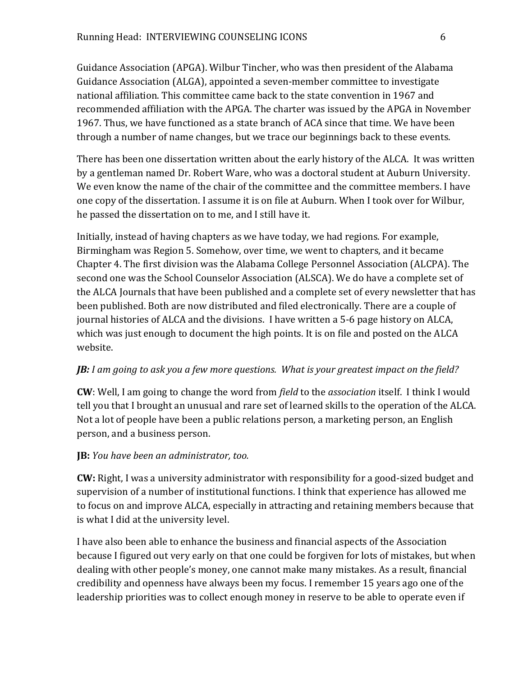Guidance Association (APGA). Wilbur Tincher, who was then president of the Alabama Guidance Association (ALGA), appointed a seven-member committee to investigate national affiliation. This committee came back to the state convention in 1967 and recommended affiliation with the APGA. The charter was issued by the APGA in November 1967. Thus, we have functioned as a state branch of ACA since that time. We have been through a number of name changes, but we trace our beginnings back to these events.

There has been one dissertation written about the early history of the ALCA. It was written by a gentleman named Dr. Robert Ware, who was a doctoral student at Auburn University. We even know the name of the chair of the committee and the committee members. I have one copy of the dissertation. I assume it is on file at Auburn. When I took over for Wilbur, he passed the dissertation on to me, and I still have it.

Initially, instead of having chapters as we have today, we had regions. For example, Birmingham was Region 5. Somehow, over time, we went to chapters, and it became Chapter 4. The first division was the Alabama College Personnel Association (ALCPA). The second one was the School Counselor Association (ALSCA). We do have a complete set of the ALCA Journals that have been published and a complete set of every newsletter that has been published. Both are now distributed and filed electronically. There are a couple of journal histories of ALCA and the divisions. I have written a 5-6 page history on ALCA, which was just enough to document the high points. It is on file and posted on the ALCA website.

# *JB: I am going to ask you a few more questions. What is your greatest impact on the field?*

**CW**: Well, I am going to change the word from *field* to the *association* itself. I think I would tell you that I brought an unusual and rare set of learned skills to the operation of the ALCA. Not a lot of people have been a public relations person, a marketing person, an English person, and a business person.

# **JB:** *You have been an administrator, too.*

**CW:** Right, I was a university administrator with responsibility for a good-sized budget and supervision of a number of institutional functions. I think that experience has allowed me to focus on and improve ALCA, especially in attracting and retaining members because that is what I did at the university level.

I have also been able to enhance the business and financial aspects of the Association because I figured out very early on that one could be forgiven for lots of mistakes, but when dealing with other people's money, one cannot make many mistakes. As a result, financial credibility and openness have always been my focus. I remember 15 years ago one of the leadership priorities was to collect enough money in reserve to be able to operate even if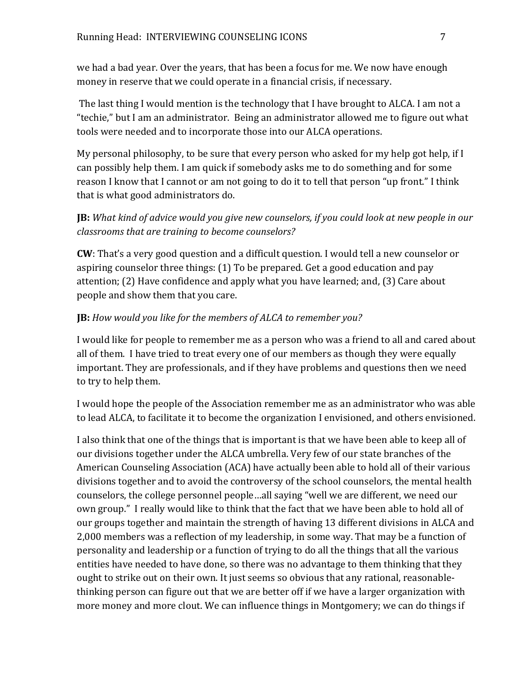we had a bad year. Over the years, that has been a focus for me. We now have enough money in reserve that we could operate in a financial crisis, if necessary.

The last thing I would mention is the technology that I have brought to ALCA. I am not a "techie," but I am an administrator. Being an administrator allowed me to figure out what tools were needed and to incorporate those into our ALCA operations.

My personal philosophy, to be sure that every person who asked for my help got help, if I can possibly help them. I am quick if somebody asks me to do something and for some reason I know that I cannot or am not going to do it to tell that person "up front." I think that is what good administrators do.

**JB:** *What kind of advice would you give new counselors, if you could look at new people in our classrooms that are training to become counselors?* 

**CW**: That's a very good question and a difficult question. I would tell a new counselor or aspiring counselor three things: (1) To be prepared. Get a good education and pay attention; (2) Have confidence and apply what you have learned; and, (3) Care about people and show them that you care.

## **JB:** *How would you like for the members of ALCA to remember you?*

I would like for people to remember me as a person who was a friend to all and cared about all of them. I have tried to treat every one of our members as though they were equally important. They are professionals, and if they have problems and questions then we need to try to help them.

I would hope the people of the Association remember me as an administrator who was able to lead ALCA, to facilitate it to become the organization I envisioned, and others envisioned.

I also think that one of the things that is important is that we have been able to keep all of our divisions together under the ALCA umbrella. Very few of our state branches of the American Counseling Association (ACA) have actually been able to hold all of their various divisions together and to avoid the controversy of the school counselors, the mental health counselors, the college personnel people…all saying "well we are different, we need our own group." I really would like to think that the fact that we have been able to hold all of our groups together and maintain the strength of having 13 different divisions in ALCA and 2,000 members was a reflection of my leadership, in some way. That may be a function of personality and leadership or a function of trying to do all the things that all the various entities have needed to have done, so there was no advantage to them thinking that they ought to strike out on their own. It just seems so obvious that any rational, reasonablethinking person can figure out that we are better off if we have a larger organization with more money and more clout. We can influence things in Montgomery; we can do things if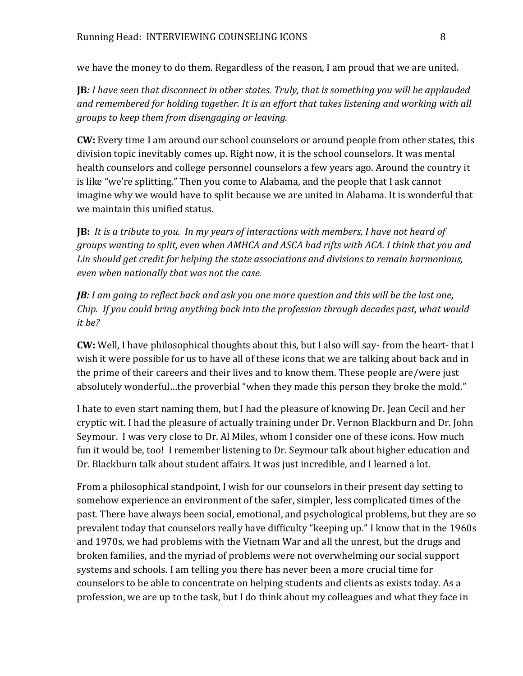we have the money to do them. Regardless of the reason, I am proud that we are united.

**JB***: I have seen that disconnect in other states. Truly, that is something you will be applauded and remembered for holding together. It is an effort that takes listening and working with all groups to keep them from disengaging or leaving.*

**CW:** Every time I am around our school counselors or around people from other states, this division topic inevitably comes up. Right now, it is the school counselors. It was mental health counselors and college personnel counselors a few years ago. Around the country it is like "we're splitting." Then you come to Alabama, and the people that I ask cannot imagine why we would have to split because we are united in Alabama. It is wonderful that we maintain this unified status.

**JB:** *It is a tribute to you. In my years of interactions with members, I have not heard of groups wanting to split, even when AMHCA and ASCA had rifts with ACA. I think that you and Lin should get credit for helping the state associations and divisions to remain harmonious, even when nationally that was not the case.* 

*JB: I am going to reflect back and ask you one more question and this will be the last one, Chip. If you could bring anything back into the profession through decades past, what would it be?* 

**CW:** Well, I have philosophical thoughts about this, but I also will say- from the heart- that I wish it were possible for us to have all of these icons that we are talking about back and in the prime of their careers and their lives and to know them. These people are/were just absolutely wonderful…the proverbial "when they made this person they broke the mold."

I hate to even start naming them, but I had the pleasure of knowing Dr. Jean Cecil and her cryptic wit. I had the pleasure of actually training under Dr. Vernon Blackburn and Dr. John Seymour. I was very close to Dr. Al Miles, whom I consider one of these icons. How much fun it would be, too! I remember listening to Dr. Seymour talk about higher education and Dr. Blackburn talk about student affairs. It was just incredible, and I learned a lot.

From a philosophical standpoint, I wish for our counselors in their present day setting to somehow experience an environment of the safer, simpler, less complicated times of the past. There have always been social, emotional, and psychological problems, but they are so prevalent today that counselors really have difficulty "keeping up." I know that in the 1960s and 1970s, we had problems with the Vietnam War and all the unrest, but the drugs and broken families, and the myriad of problems were not overwhelming our social support systems and schools. I am telling you there has never been a more crucial time for counselors to be able to concentrate on helping students and clients as exists today. As a profession, we are up to the task, but I do think about my colleagues and what they face in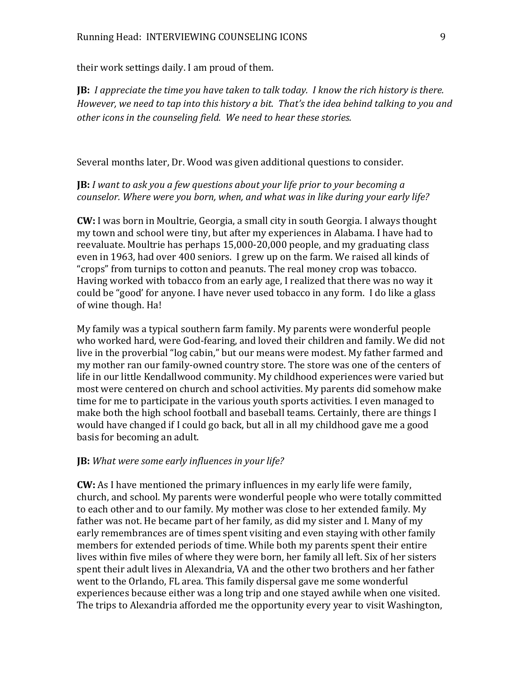their work settings daily. I am proud of them.

**JB:** *I appreciate the time you have taken to talk today. I know the rich history is there. However, we need to tap into this history a bit. That's the idea behind talking to you and other icons in the counseling field. We need to hear these stories.* 

Several months later, Dr. Wood was given additional questions to consider.

**JB:** *I want to ask you a few questions about your life prior to your becoming a counselor. Where were you born, when, and what was in like during your early life?*

**CW:** I was born in Moultrie, Georgia, a small city in south Georgia. I always thought my town and school were tiny, but after my experiences in Alabama. I have had to reevaluate. Moultrie has perhaps 15,000-20,000 people, and my graduating class even in 1963, had over 400 seniors. I grew up on the farm. We raised all kinds of "crops" from turnips to cotton and peanuts. The real money crop was tobacco. Having worked with tobacco from an early age, I realized that there was no way it could be "good' for anyone. I have never used tobacco in any form. I do like a glass of wine though. Ha!

My family was a typical southern farm family. My parents were wonderful people who worked hard, were God-fearing, and loved their children and family. We did not live in the proverbial "log cabin," but our means were modest. My father farmed and my mother ran our family-owned country store. The store was one of the centers of life in our little Kendallwood community. My childhood experiences were varied but most were centered on church and school activities. My parents did somehow make time for me to participate in the various youth sports activities. I even managed to make both the high school football and baseball teams. Certainly, there are things I would have changed if I could go back, but all in all my childhood gave me a good basis for becoming an adult.

### **JB:** *What were some early influences in your life?*

**CW:** As I have mentioned the primary influences in my early life were family, church, and school. My parents were wonderful people who were totally committed to each other and to our family. My mother was close to her extended family. My father was not. He became part of her family, as did my sister and I. Many of my early remembrances are of times spent visiting and even staying with other family members for extended periods of time. While both my parents spent their entire lives within five miles of where they were born, her family all left. Six of her sisters spent their adult lives in Alexandria, VA and the other two brothers and her father went to the Orlando, FL area. This family dispersal gave me some wonderful experiences because either was a long trip and one stayed awhile when one visited. The trips to Alexandria afforded me the opportunity every year to visit Washington,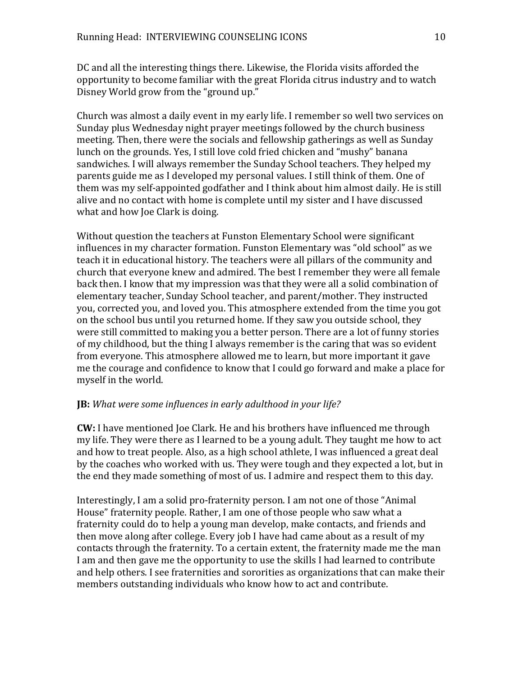DC and all the interesting things there. Likewise, the Florida visits afforded the opportunity to become familiar with the great Florida citrus industry and to watch Disney World grow from the "ground up."

Church was almost a daily event in my early life. I remember so well two services on Sunday plus Wednesday night prayer meetings followed by the church business meeting. Then, there were the socials and fellowship gatherings as well as Sunday lunch on the grounds. Yes, I still love cold fried chicken and "mushy" banana sandwiches. I will always remember the Sunday School teachers. They helped my parents guide me as I developed my personal values. I still think of them. One of them was my self-appointed godfather and I think about him almost daily. He is still alive and no contact with home is complete until my sister and I have discussed what and how Joe Clark is doing.

Without question the teachers at Funston Elementary School were significant influences in my character formation. Funston Elementary was "old school" as we teach it in educational history. The teachers were all pillars of the community and church that everyone knew and admired. The best I remember they were all female back then. I know that my impression was that they were all a solid combination of elementary teacher, Sunday School teacher, and parent/mother. They instructed you, corrected you, and loved you. This atmosphere extended from the time you got on the school bus until you returned home. If they saw you outside school, they were still committed to making you a better person. There are a lot of funny stories of my childhood, but the thing I always remember is the caring that was so evident from everyone. This atmosphere allowed me to learn, but more important it gave me the courage and confidence to know that I could go forward and make a place for myself in the world.

# **JB:** *What were some influences in early adulthood in your life?*

**CW:** I have mentioned Joe Clark. He and his brothers have influenced me through my life. They were there as I learned to be a young adult. They taught me how to act and how to treat people. Also, as a high school athlete, I was influenced a great deal by the coaches who worked with us. They were tough and they expected a lot, but in the end they made something of most of us. I admire and respect them to this day.

Interestingly, I am a solid pro-fraternity person. I am not one of those "Animal House" fraternity people. Rather, I am one of those people who saw what a fraternity could do to help a young man develop, make contacts, and friends and then move along after college. Every job I have had came about as a result of my contacts through the fraternity. To a certain extent, the fraternity made me the man I am and then gave me the opportunity to use the skills I had learned to contribute and help others. I see fraternities and sororities as organizations that can make their members outstanding individuals who know how to act and contribute.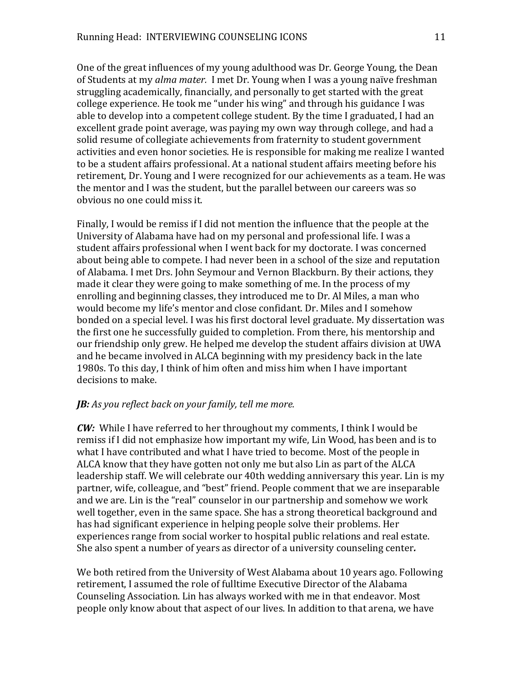One of the great influences of my young adulthood was Dr. George Young, the Dean of Students at my *alma mater.* I met Dr. Young when I was a young naïve freshman struggling academically, financially, and personally to get started with the great college experience. He took me "under his wing" and through his guidance I was able to develop into a competent college student. By the time I graduated, I had an excellent grade point average, was paying my own way through college, and had a solid resume of collegiate achievements from fraternity to student government activities and even honor societies. He is responsible for making me realize I wanted to be a student affairs professional. At a national student affairs meeting before his retirement, Dr. Young and I were recognized for our achievements as a team. He was the mentor and I was the student, but the parallel between our careers was so obvious no one could miss it.

Finally, I would be remiss if I did not mention the influence that the people at the University of Alabama have had on my personal and professional life. I was a student affairs professional when I went back for my doctorate. I was concerned about being able to compete. I had never been in a school of the size and reputation of Alabama. I met Drs. John Seymour and Vernon Blackburn. By their actions, they made it clear they were going to make something of me. In the process of my enrolling and beginning classes, they introduced me to Dr. Al Miles, a man who would become my life's mentor and close confidant. Dr. Miles and I somehow bonded on a special level. I was his first doctoral level graduate. My dissertation was the first one he successfully guided to completion. From there, his mentorship and our friendship only grew. He helped me develop the student affairs division at UWA and he became involved in ALCA beginning with my presidency back in the late 1980s. To this day, I think of him often and miss him when I have important decisions to make.

# *JB: As you reflect back on your family, tell me more.*

*CW:* While I have referred to her throughout my comments, I think I would be remiss if I did not emphasize how important my wife, Lin Wood, has been and is to what I have contributed and what I have tried to become. Most of the people in ALCA know that they have gotten not only me but also Lin as part of the ALCA leadership staff. We will celebrate our 40th wedding anniversary this year. Lin is my partner, wife, colleague, and "best" friend. People comment that we are inseparable and we are. Lin is the "real" counselor in our partnership and somehow we work well together, even in the same space. She has a strong theoretical background and has had significant experience in helping people solve their problems. Her experiences range from social worker to hospital public relations and real estate. She also spent a number of years as director of a university counseling center*.*

We both retired from the University of West Alabama about 10 years ago. Following retirement, I assumed the role of fulltime Executive Director of the Alabama Counseling Association. Lin has always worked with me in that endeavor. Most people only know about that aspect of our lives. In addition to that arena, we have